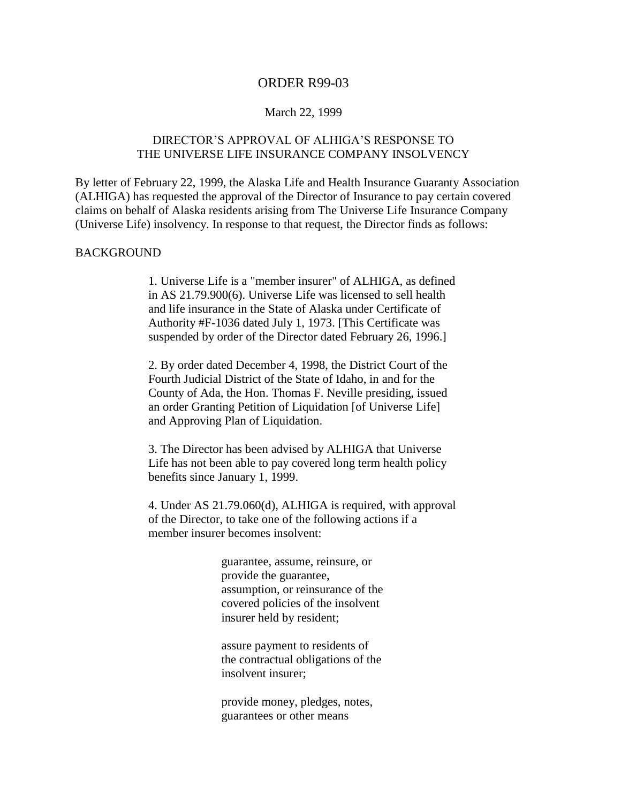## ORDER R99-03

#### March 22, 1999

# DIRECTOR'S APPROVAL OF ALHIGA'S RESPONSE TO THE UNIVERSE LIFE INSURANCE COMPANY INSOLVENCY

By letter of February 22, 1999, the Alaska Life and Health Insurance Guaranty Association (ALHIGA) has requested the approval of the Director of Insurance to pay certain covered claims on behalf of Alaska residents arising from The Universe Life Insurance Company (Universe Life) insolvency. In response to that request, the Director finds as follows:

### BACKGROUND

1. Universe Life is a "member insurer" of ALHIGA, as defined in AS 21.79.900(6). Universe Life was licensed to sell health and life insurance in the State of Alaska under Certificate of Authority #F-1036 dated July 1, 1973. [This Certificate was suspended by order of the Director dated February 26, 1996.]

2. By order dated December 4, 1998, the District Court of the Fourth Judicial District of the State of Idaho, in and for the County of Ada, the Hon. Thomas F. Neville presiding, issued an order Granting Petition of Liquidation [of Universe Life] and Approving Plan of Liquidation.

3. The Director has been advised by ALHIGA that Universe Life has not been able to pay covered long term health policy benefits since January 1, 1999.

4. Under AS 21.79.060(d), ALHIGA is required, with approval of the Director, to take one of the following actions if a member insurer becomes insolvent:

> guarantee, assume, reinsure, or provide the guarantee, assumption, or reinsurance of the covered policies of the insolvent insurer held by resident;

> assure payment to residents of the contractual obligations of the insolvent insurer;

provide money, pledges, notes, guarantees or other means